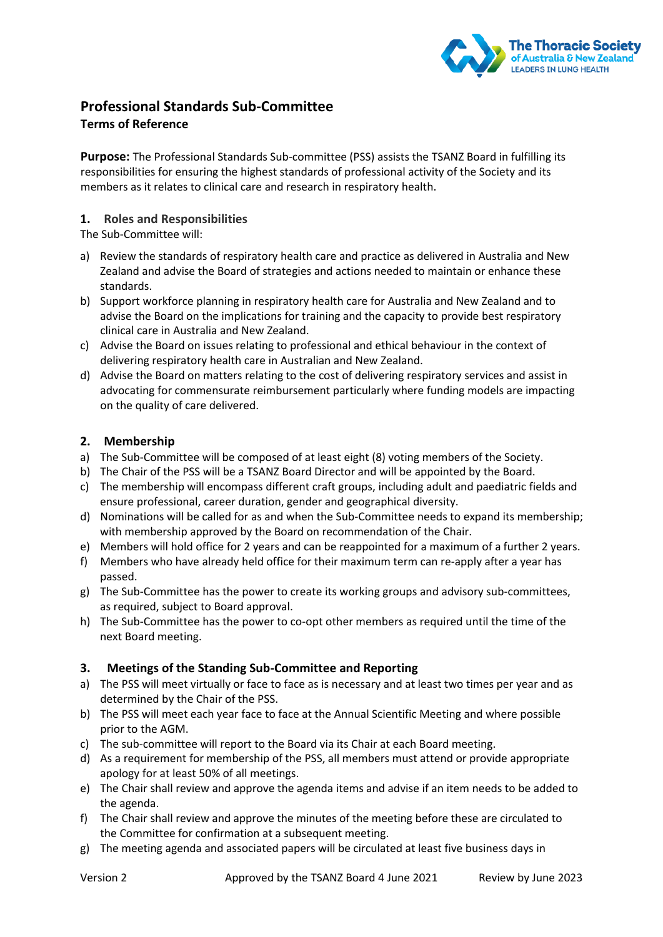

# **Professional Standards Sub-Committee**

## **Terms of Reference**

**Purpose:** The Professional Standards Sub-committee (PSS) assists the TSANZ Board in fulfilling its responsibilities for ensuring the highest standards of professional activity of the Society and its members as it relates to clinical care and research in respiratory health.

## **1. Roles and Responsibilities**

The Sub-Committee will:

- a) Review the standards of respiratory health care and practice as delivered in Australia and New Zealand and advise the Board of strategies and actions needed to maintain or enhance these standards.
- b) Support workforce planning in respiratory health care for Australia and New Zealand and to advise the Board on the implications for training and the capacity to provide best respiratory clinical care in Australia and New Zealand.
- c) Advise the Board on issues relating to professional and ethical behaviour in the context of delivering respiratory health care in Australian and New Zealand.
- d) Advise the Board on matters relating to the cost of delivering respiratory services and assist in advocating for commensurate reimbursement particularly where funding models are impacting on the quality of care delivered.

#### **2. Membership**

- a) The Sub-Committee will be composed of at least eight (8) voting members of the Society.
- b) The Chair of the PSS will be a TSANZ Board Director and will be appointed by the Board.
- c) The membership will encompass different craft groups, including adult and paediatric fields and ensure professional, career duration, gender and geographical diversity.
- d) Nominations will be called for as and when the Sub-Committee needs to expand its membership; with membership approved by the Board on recommendation of the Chair.
- e) Members will hold office for 2 years and can be reappointed for a maximum of a further 2 years.
- f) Members who have already held office for their maximum term can re-apply after a year has passed.
- g) The Sub-Committee has the power to create its working groups and advisory sub-committees, as required, subject to Board approval.
- h) The Sub-Committee has the power to co-opt other members as required until the time of the next Board meeting.

## **3. Meetings of the Standing Sub-Committee and Reporting**

- a) The PSS will meet virtually or face to face as is necessary and at least two times per year and as determined by the Chair of the PSS.
- b) The PSS will meet each year face to face at the Annual Scientific Meeting and where possible prior to the AGM.
- c) The sub-committee will report to the Board via its Chair at each Board meeting.
- d) As a requirement for membership of the PSS, all members must attend or provide appropriate apology for at least 50% of all meetings.
- e) The Chair shall review and approve the agenda items and advise if an item needs to be added to the agenda.
- f) The Chair shall review and approve the minutes of the meeting before these are circulated to the Committee for confirmation at a subsequent meeting.
- g) The meeting agenda and associated papers will be circulated at least five business days in